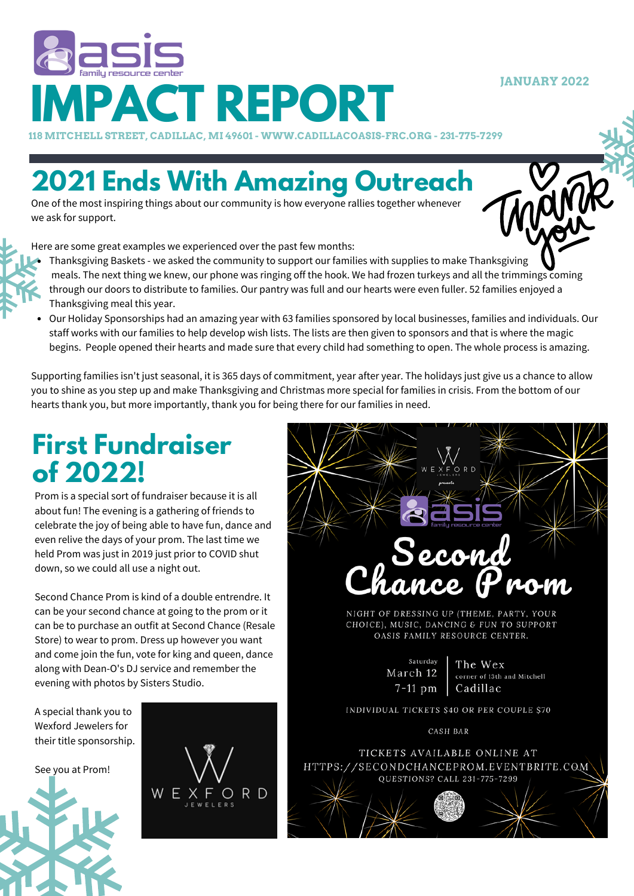

**IMPACT REPORT**

**118 MITCHELL STREET, CADILLAC, MI 49601 - WWW.CADILLACOASIS-FRC.ORG - 231-775-7299**

# **2021 Ends With Amazing Outreach**

One of the most inspiring things about our community is how everyone rallies together whenever we ask for support.

Here are some great examples we experienced over the past few months:

- Thanksgiving Baskets we asked the community to support our families with supplies to make Thanksgiving meals. The next thing we knew, our phone was ringing off the hook. We had frozen turkeys and all the trimmings coming through our doors to distribute to families. Our pantry was full and our hearts were even fuller. 52 families enjoyed a Thanksgiving meal this year.
- Our Holiday Sponsorships had an amazing year with 63 families sponsored by local businesses, families and individuals. Our staff works with our families to help develop wish lists. The lists are then given to sponsors and that is where the magic begins. People opened their hearts and made sure that every child had something to open. The whole process is amazing.

Supporting families isn't just seasonal, it is 365 days of commitment, year after year. The holidays just give us a chance to allow you to shine as you step up and make Thanksgiving and Christmas more special for families in crisis. From the bottom of our hearts thank you, but more importantly, thank you for being there for our families in need.

## **First Fundraiser of 2022!**

Prom is a special sort of fundraiser because it is all about fun! The evening is a gathering of friends to celebrate the joy of being able to have fun, dance and even relive the days of your prom. The last time we held Prom was just in 2019 just prior to COVID shut down, so we could all use a night out.

Second Chance Prom is kind of a double entrendre. It can be your second chance at going to the prom or it can be to purchase an outfit at Second Chance (Resale Store) to wear to prom. Dress up however you want and come join the fun, vote for king and queen, dance along with Dean-O's DJ service and remember the evening with photos by Sisters Studio.

A special thank you to Wexford Jewelers for their title sponsorship.

See you at Prom!







**JANUARY 2022**